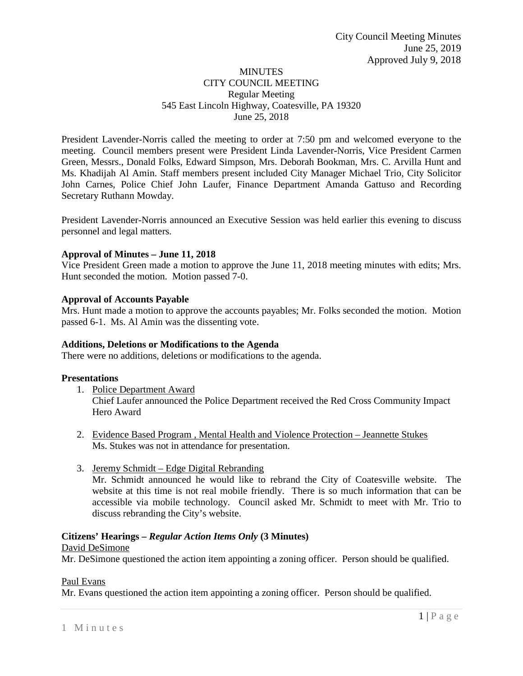## MINUTES CITY COUNCIL MEETING Regular Meeting 545 East Lincoln Highway, Coatesville, PA 19320 June 25, 2018

President Lavender-Norris called the meeting to order at 7:50 pm and welcomed everyone to the meeting. Council members present were President Linda Lavender-Norris, Vice President Carmen Green, Messrs., Donald Folks, Edward Simpson, Mrs. Deborah Bookman, Mrs. C. Arvilla Hunt and Ms. Khadijah Al Amin. Staff members present included City Manager Michael Trio, City Solicitor John Carnes, Police Chief John Laufer, Finance Department Amanda Gattuso and Recording Secretary Ruthann Mowday.

President Lavender-Norris announced an Executive Session was held earlier this evening to discuss personnel and legal matters.

## **Approval of Minutes – June 11, 2018**

Vice President Green made a motion to approve the June 11, 2018 meeting minutes with edits; Mrs. Hunt seconded the motion. Motion passed 7-0.

### **Approval of Accounts Payable**

Mrs. Hunt made a motion to approve the accounts payables; Mr. Folks seconded the motion. Motion passed 6-1. Ms. Al Amin was the dissenting vote.

## **Additions, Deletions or Modifications to the Agenda**

There were no additions, deletions or modifications to the agenda.

### **Presentations**

1. Police Department Award

Chief Laufer announced the Police Department received the Red Cross Community Impact Hero Award

- 2. Evidence Based Program , Mental Health and Violence Protection Jeannette Stukes Ms. Stukes was not in attendance for presentation.
- 3. Jeremy Schmidt Edge Digital Rebranding

Mr. Schmidt announced he would like to rebrand the City of Coatesville website. The website at this time is not real mobile friendly. There is so much information that can be accessible via mobile technology. Council asked Mr. Schmidt to meet with Mr. Trio to discuss rebranding the City's website.

### **Citizens' Hearings –** *Regular Action Items Only* **(3 Minutes)**

### David DeSimone

Mr. DeSimone questioned the action item appointing a zoning officer. Person should be qualified.

### Paul Evans

Mr. Evans questioned the action item appointing a zoning officer. Person should be qualified.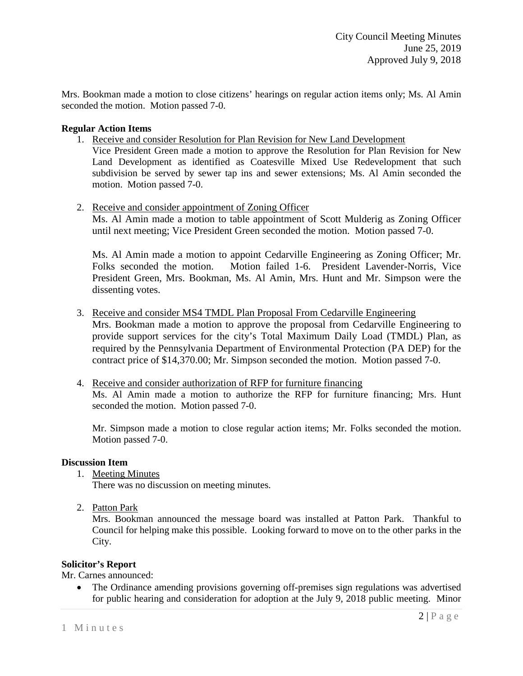Mrs. Bookman made a motion to close citizens' hearings on regular action items only; Ms. Al Amin seconded the motion. Motion passed 7-0.

### **Regular Action Items**

1. Receive and consider Resolution for Plan Revision for New Land Development

Vice President Green made a motion to approve the Resolution for Plan Revision for New Land Development as identified as Coatesville Mixed Use Redevelopment that such subdivision be served by sewer tap ins and sewer extensions; Ms. Al Amin seconded the motion. Motion passed 7-0.

2. Receive and consider appointment of Zoning Officer

Ms. Al Amin made a motion to table appointment of Scott Mulderig as Zoning Officer until next meeting; Vice President Green seconded the motion. Motion passed 7-0.

Ms. Al Amin made a motion to appoint Cedarville Engineering as Zoning Officer; Mr. Folks seconded the motion. Motion failed 1-6. President Lavender-Norris, Vice President Green, Mrs. Bookman, Ms. Al Amin, Mrs. Hunt and Mr. Simpson were the dissenting votes.

3. Receive and consider MS4 TMDL Plan Proposal From Cedarville Engineering

Mrs. Bookman made a motion to approve the proposal from Cedarville Engineering to provide support services for the city's Total Maximum Daily Load (TMDL) Plan, as required by the Pennsylvania Department of Environmental Protection (PA DEP) for the contract price of \$14,370.00; Mr. Simpson seconded the motion. Motion passed 7-0.

4. Receive and consider authorization of RFP for furniture financing Ms. Al Amin made a motion to authorize the RFP for furniture financing; Mrs. Hunt seconded the motion. Motion passed 7-0.

Mr. Simpson made a motion to close regular action items; Mr. Folks seconded the motion. Motion passed 7-0.

### **Discussion Item**

1. Meeting Minutes

There was no discussion on meeting minutes.

2. Patton Park

Mrs. Bookman announced the message board was installed at Patton Park. Thankful to Council for helping make this possible. Looking forward to move on to the other parks in the City.

### **Solicitor's Report**

Mr. Carnes announced:

• The Ordinance amending provisions governing off-premises sign regulations was advertised for public hearing and consideration for adoption at the July 9, 2018 public meeting. Minor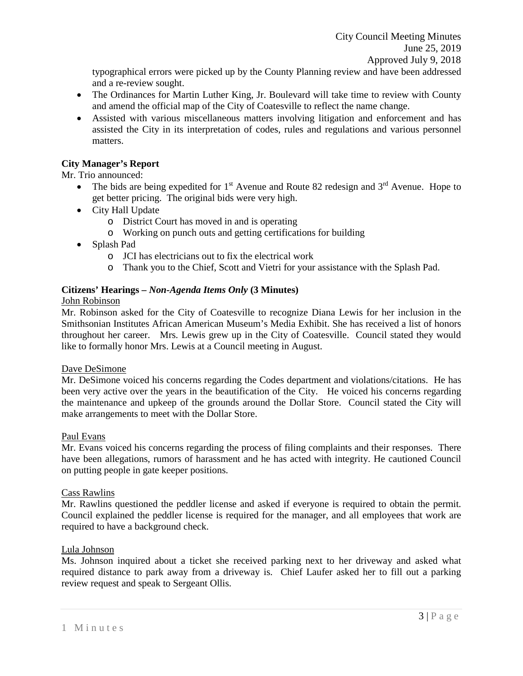typographical errors were picked up by the County Planning review and have been addressed and a re-review sought.

- The Ordinances for Martin Luther King, Jr. Boulevard will take time to review with County and amend the official map of the City of Coatesville to reflect the name change.
- Assisted with various miscellaneous matters involving litigation and enforcement and has assisted the City in its interpretation of codes, rules and regulations and various personnel matters.

# **City Manager's Report**

Mr. Trio announced:

- The bids are being expedited for  $1<sup>st</sup>$  Avenue and Route 82 redesign and  $3<sup>rd</sup>$  Avenue. Hope to get better pricing. The original bids were very high.
- City Hall Update
	- o District Court has moved in and is operating
	- o Working on punch outs and getting certifications for building
- Splash Pad
	- o JCI has electricians out to fix the electrical work
	- o Thank you to the Chief, Scott and Vietri for your assistance with the Splash Pad.

## **Citizens' Hearings –** *Non-Agenda Items Only* **(3 Minutes)**

### John Robinson

Mr. Robinson asked for the City of Coatesville to recognize Diana Lewis for her inclusion in the Smithsonian Institutes African American Museum's Media Exhibit. She has received a list of honors throughout her career. Mrs. Lewis grew up in the City of Coatesville. Council stated they would like to formally honor Mrs. Lewis at a Council meeting in August.

## Dave DeSimone

Mr. DeSimone voiced his concerns regarding the Codes department and violations/citations. He has been very active over the years in the beautification of the City. He voiced his concerns regarding the maintenance and upkeep of the grounds around the Dollar Store. Council stated the City will make arrangements to meet with the Dollar Store.

## Paul Evans

Mr. Evans voiced his concerns regarding the process of filing complaints and their responses. There have been allegations, rumors of harassment and he has acted with integrity. He cautioned Council on putting people in gate keeper positions.

### Cass Rawlins

Mr. Rawlins questioned the peddler license and asked if everyone is required to obtain the permit. Council explained the peddler license is required for the manager, and all employees that work are required to have a background check.

## Lula Johnson

Ms. Johnson inquired about a ticket she received parking next to her driveway and asked what required distance to park away from a driveway is. Chief Laufer asked her to fill out a parking review request and speak to Sergeant Ollis.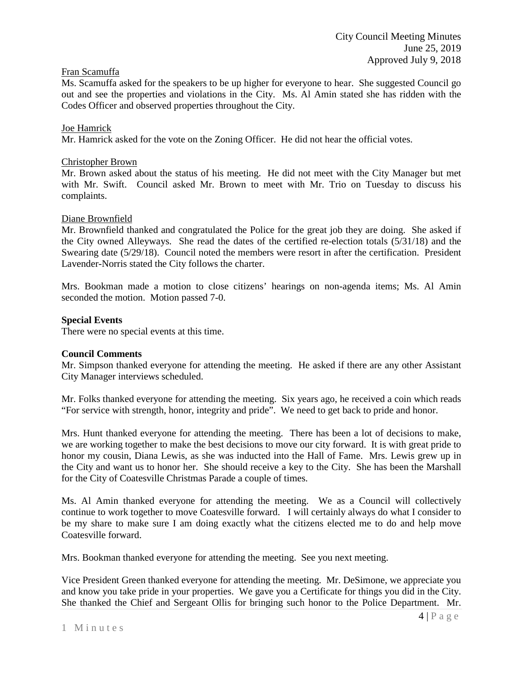## Fran Scamuffa

Ms. Scamuffa asked for the speakers to be up higher for everyone to hear. She suggested Council go out and see the properties and violations in the City. Ms. Al Amin stated she has ridden with the Codes Officer and observed properties throughout the City.

### Joe Hamrick

Mr. Hamrick asked for the vote on the Zoning Officer. He did not hear the official votes.

### Christopher Brown

Mr. Brown asked about the status of his meeting. He did not meet with the City Manager but met with Mr. Swift. Council asked Mr. Brown to meet with Mr. Trio on Tuesday to discuss his complaints.

### Diane Brownfield

Mr. Brownfield thanked and congratulated the Police for the great job they are doing. She asked if the City owned Alleyways. She read the dates of the certified re-election totals (5/31/18) and the Swearing date (5/29/18). Council noted the members were resort in after the certification. President Lavender-Norris stated the City follows the charter.

Mrs. Bookman made a motion to close citizens' hearings on non-agenda items; Ms. Al Amin seconded the motion. Motion passed 7-0.

### **Special Events**

There were no special events at this time.

### **Council Comments**

Mr. Simpson thanked everyone for attending the meeting. He asked if there are any other Assistant City Manager interviews scheduled.

Mr. Folks thanked everyone for attending the meeting. Six years ago, he received a coin which reads "For service with strength, honor, integrity and pride". We need to get back to pride and honor.

Mrs. Hunt thanked everyone for attending the meeting. There has been a lot of decisions to make, we are working together to make the best decisions to move our city forward. It is with great pride to honor my cousin, Diana Lewis, as she was inducted into the Hall of Fame. Mrs. Lewis grew up in the City and want us to honor her. She should receive a key to the City. She has been the Marshall for the City of Coatesville Christmas Parade a couple of times.

Ms. Al Amin thanked everyone for attending the meeting. We as a Council will collectively continue to work together to move Coatesville forward. I will certainly always do what I consider to be my share to make sure I am doing exactly what the citizens elected me to do and help move Coatesville forward.

Mrs. Bookman thanked everyone for attending the meeting. See you next meeting.

Vice President Green thanked everyone for attending the meeting. Mr. DeSimone, we appreciate you and know you take pride in your properties. We gave you a Certificate for things you did in the City. She thanked the Chief and Sergeant Ollis for bringing such honor to the Police Department. Mr.